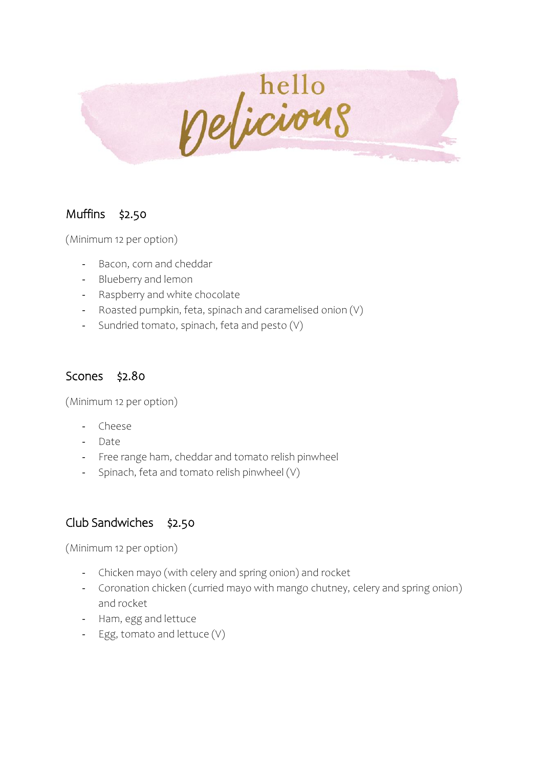

## Muffins \$2.50

(Minimum 12 per option)

- Bacon, corn and cheddar
- Blueberry and lemon
- Raspberry and white chocolate
- Roasted pumpkin, feta, spinach and caramelised onion (V)
- Sundried tomato, spinach, feta and pesto (V)

### Scones \$2.80

(Minimum 12 per option)

- Cheese
- Date
- Free range ham, cheddar and tomato relish pinwheel
- Spinach, feta and tomato relish pinwheel (V)

## Club Sandwiches \$2.50

(Minimum 12 per option)

- Chicken mayo (with celery and spring onion) and rocket
- Coronation chicken (curried mayo with mango chutney, celery and spring onion) and rocket
- Ham, egg and lettuce
- Egg, tomato and lettuce (V)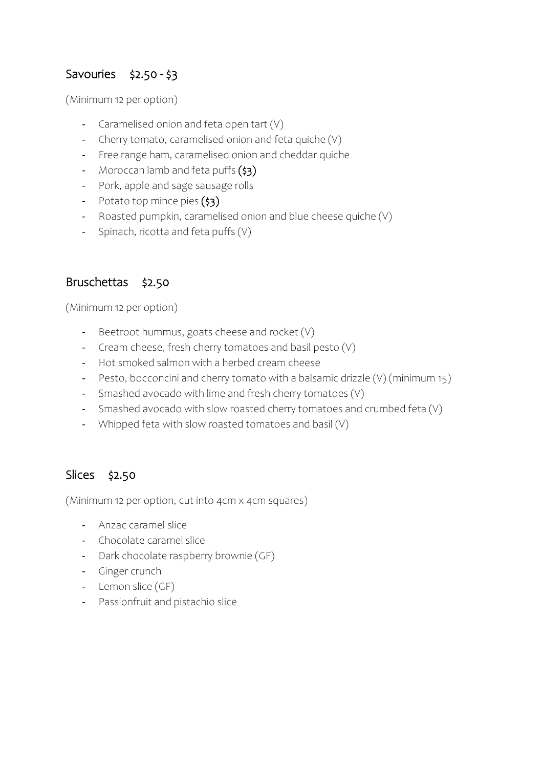## Savouries \$2.50 - \$3

(Minimum 12 per option)

- Caramelised onion and feta open tart (V)
- Cherry tomato, caramelised onion and feta quiche (V)
- Free range ham, caramelised onion and cheddar quiche
- Moroccan lamb and feta puffs (\$3)
- Pork, apple and sage sausage rolls
- Potato top mince pies (\$3)
- Roasted pumpkin, caramelised onion and blue cheese quiche (V)
- Spinach, ricotta and feta puffs (V)

#### Bruschettas \$2.50

(Minimum 12 per option)

- Beetroot hummus, goats cheese and rocket (V)
- Cream cheese, fresh cherry tomatoes and basil pesto (V)
- Hot smoked salmon with a herbed cream cheese
- Pesto, bocconcini and cherry tomato with a balsamic drizzle (V) (minimum 15)
- Smashed avocado with lime and fresh cherry tomatoes (V)
- Smashed avocado with slow roasted cherry tomatoes and crumbed feta (V)
- Whipped feta with slow roasted tomatoes and basil (V)

#### Slices \$2.50

(Minimum 12 per option, cut into 4cm x 4cm squares)

- Anzac caramel slice
- Chocolate caramel slice
- Dark chocolate raspberry brownie (GF)
- Ginger crunch
- Lemon slice (GF)
- Passionfruit and pistachio slice